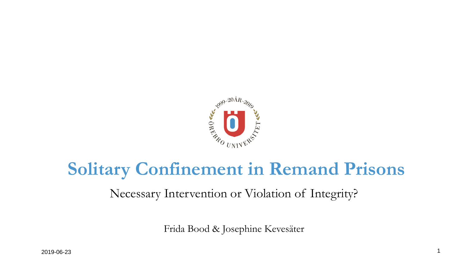

## **Solitary Confinement in Remand Prisons**

Necessary Intervention or Violation of Integrity?

Frida Bood & Josephine Kevesäter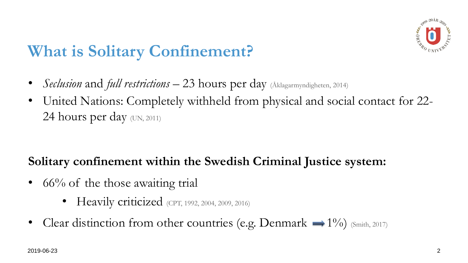## **What is Solitary Confinement?**

- *Seclusion* and *full restrictions* 23 hours per day (Aklagarmyndigheten, 2014)
- United Nations: Completely withheld from physical and social contact for 22- 24 hours per day (UN, 2011)

#### **Solitary confinement within the Swedish Criminal Justice system:**

- $66\%$  of the those awaiting trial
	- Heavily criticized (CPT, 1992, 2004, 2009, 2016)
- Clear distinction from other countries (e.g. Denmark  $\rightarrow 1\%$ ) (Smith, 2017)

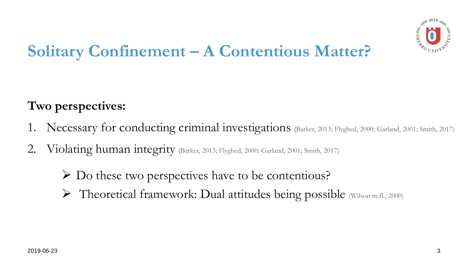## **Solitary Confinement – A Contentious Matter?**

### **Two perspectives:**

- 1. Necessary for conducting criminal investigations (Barker, 2013; Flyghed, 2000; Garland, 2001; Smith, 2017)
- Violating human integrity (Barker, 2013; Flyghed, 2000; Garland, 2001; Smith, 2017)
	- ➢ Do these two perspectives have to be contentious?
	- ➢ Theoretical framework: Dual attitudes being possible (Wilson m.fl., 2000)

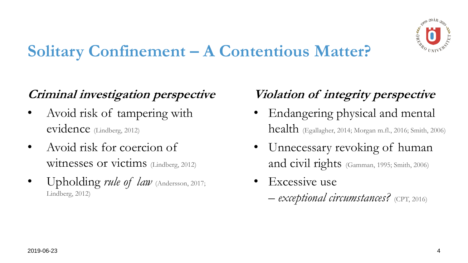# **Solitary Confinement – A Contentious Matter?**



### **Criminal investigation perspective**

- Avoid risk of tampering with evidence (Lindberg, 2012)
- Avoid risk for coercion of witnesses or victims (Lindberg, 2012)
- Upholding *rule of law* (Andersson, 2017; Lindberg, 2012)
- 
- 

# **Violation of integrity perspective**  • Endangering physical and mental health (Egallagher, 2014; Morgan m.fl., 2016; Smith, 2006) Unnecessary revoking of human and civil rights (Gamman, 1995; Smith, 2006)

Excessive use

*– exceptional circumstances?* (CPT, 2016)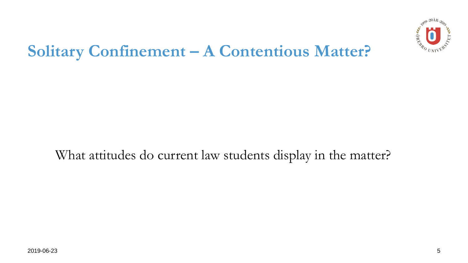## **Solitary Confinement – A Contentious Matter?**

2019-06-23 5



#### What attitudes do current law students display in the matter?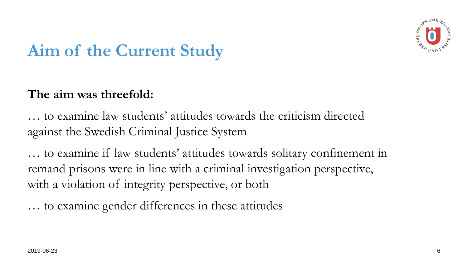## **Aim of the Current Study**

#### **The aim was threefold:**

… to examine law students' attitudes towards the criticism directed against the Swedish Criminal Justice System

… to examine if law students' attitudes towards solitary confinement in remand prisons were in line with a criminal investigation perspective, with a violation of integrity perspective, or both

… to examine gender differences in these attitudes

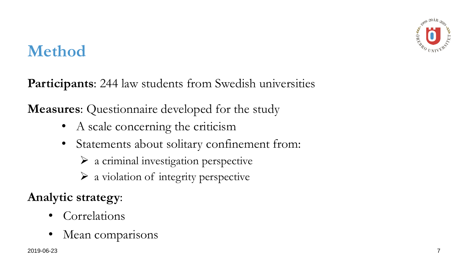## **Method**

**Participants**: 244 law students from Swedish universities

**Measures**: Questionnaire developed for the study

- A scale concerning the criticism
- Statements about solitary confinement from:
	- $\triangleright$  a criminal investigation perspective
	- ➢ a violation of integrity perspective

### **Analytic strategy**:

- **Correlations**
- Mean comparisons

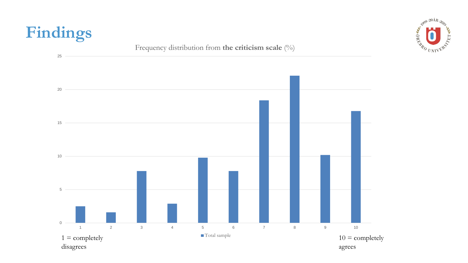





# **Findings**

#### Frequency distribution from **the criticism scale** (%)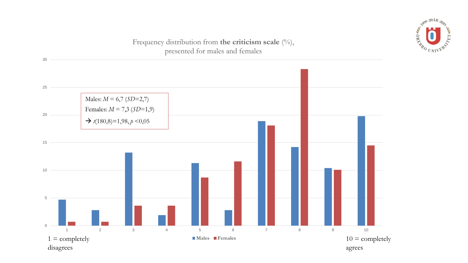30



#### Frequency distribution from **the criticism scale**  $(^{0}/_{0})$ , presented for males and females



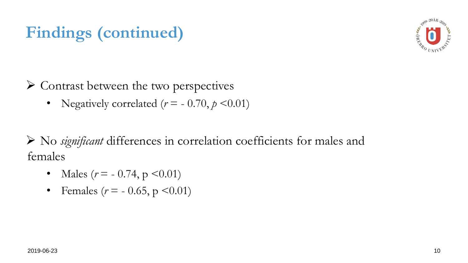#### ➢ Contrast between the two perspectives

• Negatively correlated  $(r = -0.70, p \le 0.01)$ 

➢ No *significant* differences in correlation coefficients for males and females

- Males  $(r = -0.74, p \le 0.01)$
- Females  $(r = -0.65, p \le 0.01)$



# **Findings (continued)**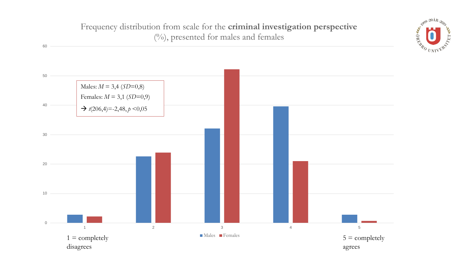#### Frequency distribution from scale for the **criminal investigation perspective**  (%), presented for males and females



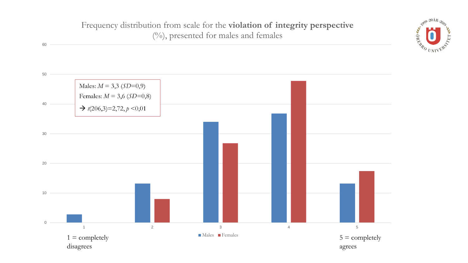#### Frequency distribution from scale for the **violation of integrity perspective**  (%), presented for males and females



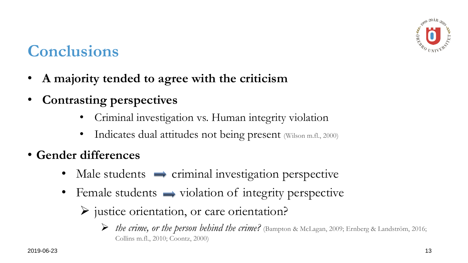## **Conclusions**

- **A majority tended to agree with the criticism**
- **Contrasting perspectives**
	- Criminal investigation vs. Human integrity violation
	- Indicates dual attitudes not being present (Wilson m.fl., 2000)
- **Gender differences**
	- Male students  $\rightarrow$  criminal investigation perspective
	- Female students  $\rightarrow$  violation of integrity perspective
		- ➢ justice orientation, or care orientation?



➢ *the crime, or the person behind the crime?* (Bampton & McLagan, 2009; Ernberg & Landström, 2016; Collins m.fl., 2010; Coontz, 2000)

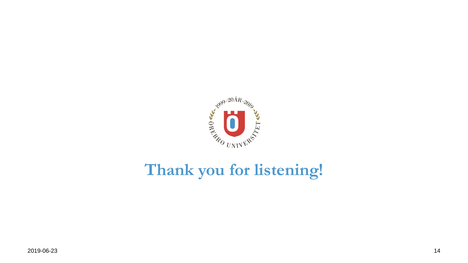

# **Thank you for listening!**

2019-06-23 14

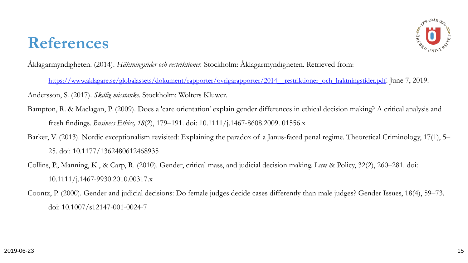

Åklagarmyndigheten. (2014). *Häktningstider och restriktioner.* Stockholm: Åklagarmyndigheten. Retrieved from:

https://www.aklagare.se/globalassets/dokument/rapporter/ovrigarapporter/2014\_restriktioner\_och\_haktningstider.pdf. June 7, 2019. Andersson, S. (2017). *Skälig misstanke*. Stockholm: Wolters Kluwer.

Bampton, R. & Maclagan, P. (2009). Does a 'care orientation' explain gender differences in ethical decision making? A critical analysis and fresh findings. *Business Ethics, 18*(2), 179–191. doi: 10.1111/j.1467-8608.2009. 01556.x Barker, V. (2013). Nordic exceptionalism revisited: Explaining the paradox of a Janus-faced penal regime. Theoretical Criminology, 17(1), 5–

25. doi: 10.1177/1362480612468935

- Collins, P., Manning, K., & Carp, R. (2010). Gender, critical mass, and judicial decision making. Law & Policy, 32(2), 260–281. doi: 10.1111/j.1467-9930.2010.00317.x
- Coontz, P. (2000). Gender and judicial decisions: Do female judges decide cases differently than male judges? Gender Issues, 18(4), 59–73. doi: 10.1007/s12147-001-0024-7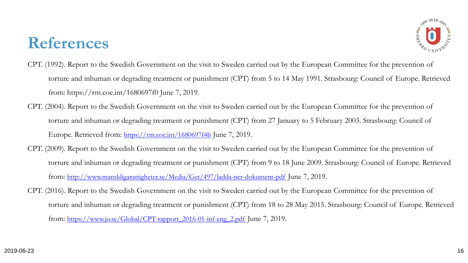

- CPT. (1992). Report to the Swedish Government on the visit to Sweden carried out by the European Committee for the prevention of torture and inhuman or degrading treatment or punishment (CPT) from 5 to 14 May 1991. Strasbourg: Council of Europe. Retrieved from: https://rm.coe.int/1680697f0 June 7, 2019.
- CPT. (2004). Report to the Swedish Government on the visit to Sweden carried out by the European Committee for the prevention of torture and inhuman or degrading treatment or punishment (CPT) from 27 January to 5 February 2003. Strasbourg: Council of Europe. Retrieved from: <https://rm.coe.int/1680697f4b> June 7, 2019.
- CPT. (2009). Report to the Swedish Government on the visit to Sweden carried out by the European Committee for the prevention of torture and inhuman or degrading treatment or punishment (CPT) from 9 to 18 June 2009. Strasbourg: Council of Europe. Retrieved from: <http://www.manskligarattigheter.se/Media/Get/497/ladda-ner-dokument-pdf> June 7, 2019. CPT. (2016). Report to the Swedish Government on the visit to Sweden carried out by the European Committee for the prevention of
	- torture and inhuman or degrading treatment or punishment (CPT) from 18 to 28 May 2015. Strasbourg: Council of Europe. Retrieved

from: [https://www.jo.se/Global/CPT-rapport\\_2016-01-inf-eng\\_2.pdf](https://www.jo.se/Global/CPT-rapport_2016-01-inf-eng_2.pdf) June 7, 2019.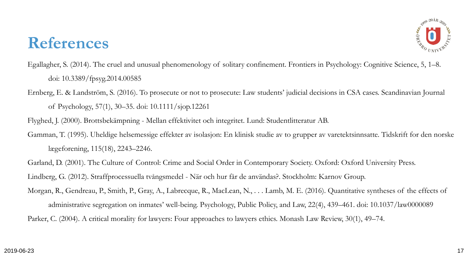

- Egallagher, S. (2014). The cruel and unusual phenomenology of solitary confinement. Frontiers in Psychology: Cognitive Science, 5, 1–8. doi: 10.3389/fpsyg.2014.00585
- Ernberg, E. & Landström, S. (2016). To prosecute or not to prosecute: Law students' judicial decisions in CSA cases. Scandinavian Journal of Psychology, 57(1), 30–35. doi: 10.1111/sjop.12261
- Flyghed, J. (2000). Brottsbekämpning Mellan effektivitet och integritet. Lund: Studentlitteratur AB. Gamman, T. (1995). Uheldige helsemessige effekter av isolasjon: En klinisk studie av to grupper av varetektsinnsatte. Tidskrift for den norske lægeforening, 115(18), 2243–2246.
- Garland, D. (2001). The Culture of Control: Crime and Social Order in Contemporary Society. Oxford: Oxford University Press. Lindberg, G. (2012). Straffprocessuella tvångsmedel - När och hur får de användas?. Stockholm: Karnov Group. Morgan, R., Gendreau, P., Smith, P., Gray, A., Labrecque, R., MacLean, N., . . . Lamb, M. E. (2016). Quantitative syntheses of the effects of administrative segregation on inmates' well-being. Psychology, Public Policy, and Law, 22(4), 439–461. doi: 10.1037/law0000089
- Parker, C. (2004). A critical morality for lawyers: Four approaches to lawyers ethics. Monash Law Review, 30(1), 49–74.